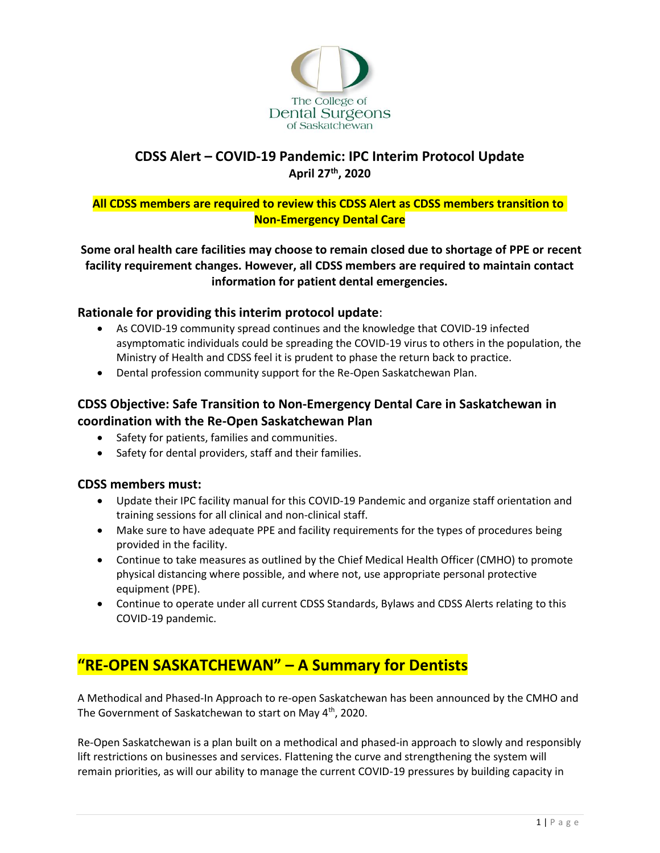

## **CDSS Alert – COVID-19 Pandemic: IPC Interim Protocol Update April 27th, 2020**

### **All CDSS members are required to review this CDSS Alert as CDSS members transition to Non-Emergency Dental Care**

**Some oral health care facilities may choose to remain closed due to shortage of PPE or recent facility requirement changes. However, all CDSS members are required to maintain contact information for patient dental emergencies.**

### **Rationale for providing this interim protocol update**:

- As COVID-19 community spread continues and the knowledge that COVID-19 infected asymptomatic individuals could be spreading the COVID-19 virus to others in the population, the Ministry of Health and CDSS feel it is prudent to phase the return back to practice.
- Dental profession community support for the Re-Open Saskatchewan Plan.

## **CDSS Objective: Safe Transition to Non-Emergency Dental Care in Saskatchewan in coordination with the Re-Open Saskatchewan Plan**

- Safety for patients, families and communities.
- Safety for dental providers, staff and their families.

#### **CDSS members must:**

- Update their IPC facility manual for this COVID-19 Pandemic and organize staff orientation and training sessions for all clinical and non-clinical staff.
- Make sure to have adequate PPE and facility requirements for the types of procedures being provided in the facility.
- Continue to take measures as outlined by the Chief Medical Health Officer (CMHO) to promote physical distancing where possible, and where not, use appropriate personal protective equipment (PPE).
- Continue to operate under all current CDSS Standards, Bylaws and CDSS Alerts relating to this COVID-19 pandemic.

# **"RE-OPEN SASKATCHEWAN" – A Summary for Dentists**

A Methodical and Phased-In Approach to re-open Saskatchewan has been announced by the CMHO and The Government of Saskatchewan to start on May 4th, 2020.

Re-Open Saskatchewan is a plan built on a methodical and phased-in approach to slowly and responsibly lift restrictions on businesses and services. Flattening the curve and strengthening the system will remain priorities, as will our ability to manage the current COVID-19 pressures by building capacity in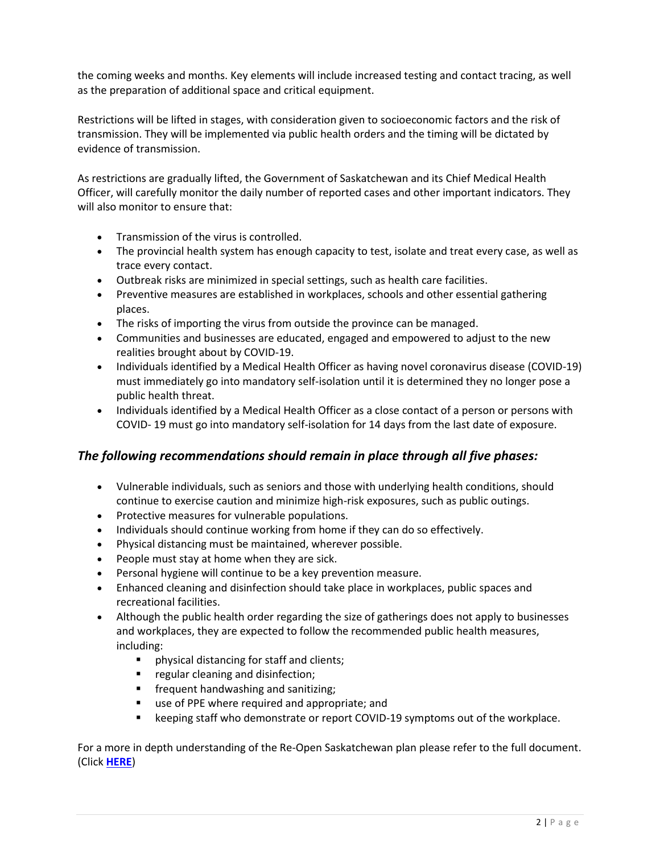the coming weeks and months. Key elements will include increased testing and contact tracing, as well as the preparation of additional space and critical equipment.

Restrictions will be lifted in stages, with consideration given to socioeconomic factors and the risk of transmission. They will be implemented via public health orders and the timing will be dictated by evidence of transmission.

As restrictions are gradually lifted, the Government of Saskatchewan and its Chief Medical Health Officer, will carefully monitor the daily number of reported cases and other important indicators. They will also monitor to ensure that:

- Transmission of the virus is controlled.
- The provincial health system has enough capacity to test, isolate and treat every case, as well as trace every contact.
- Outbreak risks are minimized in special settings, such as health care facilities.
- Preventive measures are established in workplaces, schools and other essential gathering places.
- The risks of importing the virus from outside the province can be managed.
- Communities and businesses are educated, engaged and empowered to adjust to the new realities brought about by COVID-19.
- Individuals identified by a Medical Health Officer as having novel coronavirus disease (COVID-19) must immediately go into mandatory self-isolation until it is determined they no longer pose a public health threat.
- Individuals identified by a Medical Health Officer as a close contact of a person or persons with COVID- 19 must go into mandatory self-isolation for 14 days from the last date of exposure.

### *The following recommendations should remain in place through all five phases:*

- Vulnerable individuals, such as seniors and those with underlying health conditions, should continue to exercise caution and minimize high-risk exposures, such as public outings.
- Protective measures for vulnerable populations.
- Individuals should continue working from home if they can do so effectively.
- Physical distancing must be maintained, wherever possible.
- People must stay at home when they are sick.
- Personal hygiene will continue to be a key prevention measure.
- Enhanced cleaning and disinfection should take place in workplaces, public spaces and recreational facilities.
- Although the public health order regarding the size of gatherings does not apply to businesses and workplaces, they are expected to follow the recommended public health measures, including:
	- physical distancing for staff and clients;
	- **■** regular cleaning and disinfection;
	- **■** frequent handwashing and sanitizing;
	- use of PPE where required and appropriate; and
	- keeping staff who demonstrate or report COVID-19 symptoms out of the workplace.

For a more in depth understanding of the Re-Open Saskatchewan plan please refer to the full document. (Click **[HERE](https://www.saskatchewan.ca/government/health-care-administration-and-provider-resources/treatment-procedures-and-guidelines/emerging-public-health-issues/2019-novel-coronavirus/re-open-saskatchewan-plan)**)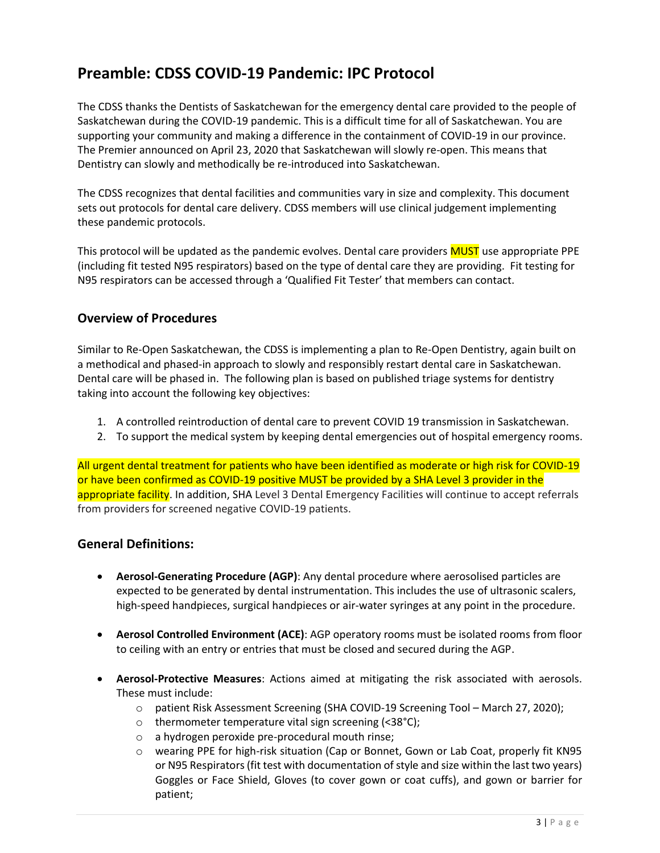# **Preamble: CDSS COVID-19 Pandemic: IPC Protocol**

The CDSS thanks the Dentists of Saskatchewan for the emergency dental care provided to the people of Saskatchewan during the COVID-19 pandemic. This is a difficult time for all of Saskatchewan. You are supporting your community and making a difference in the containment of COVID-19 in our province. The Premier announced on April 23, 2020 that Saskatchewan will slowly re-open. This means that Dentistry can slowly and methodically be re-introduced into Saskatchewan.

The CDSS recognizes that dental facilities and communities vary in size and complexity. This document sets out protocols for dental care delivery. CDSS members will use clinical judgement implementing these pandemic protocols.

This protocol will be updated as the pandemic evolves. Dental care providers **MUST** use appropriate PPE (including fit tested N95 respirators) based on the type of dental care they are providing. Fit testing for N95 respirators can be accessed through a 'Qualified Fit Tester' that members can contact.

### **Overview of Procedures**

Similar to Re-Open Saskatchewan, the CDSS is implementing a plan to Re-Open Dentistry, again built on a methodical and phased-in approach to slowly and responsibly restart dental care in Saskatchewan. Dental care will be phased in. The following plan is based on published triage systems for dentistry taking into account the following key objectives:

- 1. A controlled reintroduction of dental care to prevent COVID 19 transmission in Saskatchewan.
- 2. To support the medical system by keeping dental emergencies out of hospital emergency rooms.

All urgent dental treatment for patients who have been identified as moderate or high risk for COVID-19 or have been confirmed as COVID-19 positive MUST be provided by a SHA Level 3 provider in the appropriate facility. In addition, SHA Level 3 Dental Emergency Facilities will continue to accept referrals from providers for screened negative COVID-19 patients.

### **General Definitions:**

- **Aerosol-Generating Procedure (AGP)**: Any dental procedure where aerosolised particles are expected to be generated by dental instrumentation. This includes the use of ultrasonic scalers, high-speed handpieces, surgical handpieces or air-water syringes at any point in the procedure.
- **Aerosol Controlled Environment (ACE)**: AGP operatory rooms must be isolated rooms from floor to ceiling with an entry or entries that must be closed and secured during the AGP.
- **Aerosol-Protective Measures**: Actions aimed at mitigating the risk associated with aerosols. These must include:
	- o patient Risk Assessment Screening (SHA COVID-19 Screening Tool March 27, 2020);
	- o thermometer temperature vital sign screening (<38°C);
	- o a hydrogen peroxide pre-procedural mouth rinse;
	- o wearing PPE for high-risk situation (Cap or Bonnet, Gown or Lab Coat, properly fit KN95 or N95 Respirators (fit test with documentation of style and size within the last two years) Goggles or Face Shield, Gloves (to cover gown or coat cuffs), and gown or barrier for patient;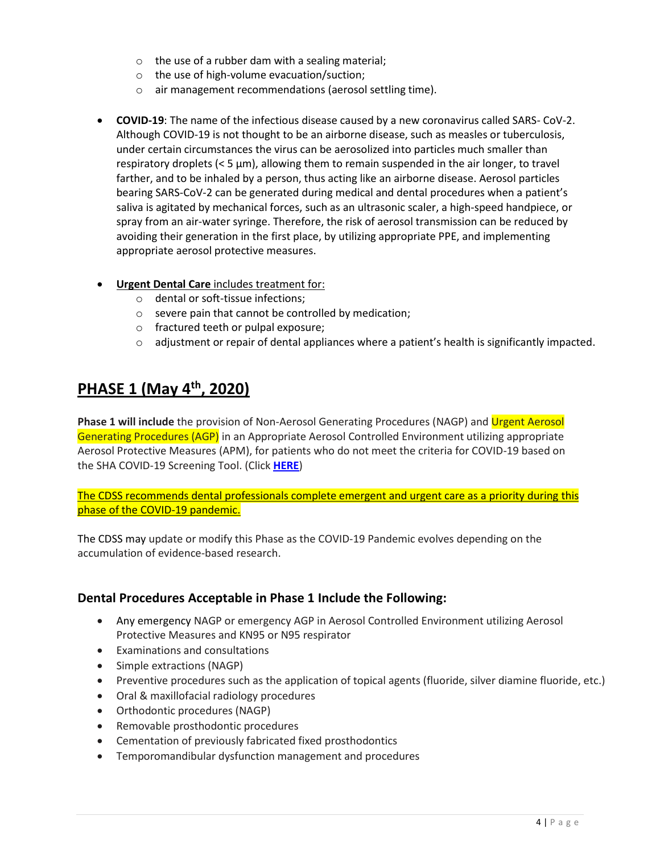- $\circ$  the use of a rubber dam with a sealing material;
- o the use of high-volume evacuation/suction;
- o air management recommendations (aerosol settling time).
- **COVID-19**: The name of the infectious disease caused by a new coronavirus called SARS- CoV-2. Although COVID-19 is not thought to be an airborne disease, such as measles or tuberculosis, under certain circumstances the virus can be aerosolized into particles much smaller than respiratory droplets (< 5 μm), allowing them to remain suspended in the air longer, to travel farther, and to be inhaled by a person, thus acting like an airborne disease. Aerosol particles bearing SARS-CoV-2 can be generated during medical and dental procedures when a patient's saliva is agitated by mechanical forces, such as an ultrasonic scaler, a high-speed handpiece, or spray from an air-water syringe. Therefore, the risk of aerosol transmission can be reduced by avoiding their generation in the first place, by utilizing appropriate PPE, and implementing appropriate aerosol protective measures.
- **Urgent Dental Care** includes treatment for:
	- o dental or soft-tissue infections;
	- o severe pain that cannot be controlled by medication;
	- o fractured teeth or pulpal exposure;
	- $\circ$  adjustment or repair of dental appliances where a patient's health is significantly impacted.

# **PHASE 1 (May 4th, 2020)**

**Phase 1 will include** the provision of Non-Aerosol Generating Procedures (NAGP) and Urgent Aerosol Generating Procedures (AGP) in an Appropriate Aerosol Controlled Environment utilizing appropriate Aerosol Protective Measures (APM), for patients who do not meet the criteria for COVID-19 based on the SHA COVID-19 Screening Tool. (Click **[HERE](http://www.saskatchewan.ca/-/media/files/coronavirus/info-for-health-care-providers/testing-screening-and-medical-directives/sha-0003-covid-19-outpatient-same-day-sx-direct-admits-screening-tool.pdf)**)

The CDSS recommends dental professionals complete emergent and urgent care as a priority during this phase of the COVID-19 pandemic.

The CDSS may update or modify this Phase as the COVID-19 Pandemic evolves depending on the accumulation of evidence-based research.

### **Dental Procedures Acceptable in Phase 1 Include the Following:**

- Any emergency NAGP or emergency AGP in Aerosol Controlled Environment utilizing Aerosol Protective Measures and KN95 or N95 respirator
- Examinations and consultations
- Simple extractions (NAGP)
- Preventive procedures such as the application of topical agents (fluoride, silver diamine fluoride, etc.)
- Oral & maxillofacial radiology procedures
- Orthodontic procedures (NAGP)
- Removable prosthodontic procedures
- Cementation of previously fabricated fixed prosthodontics
- Temporomandibular dysfunction management and procedures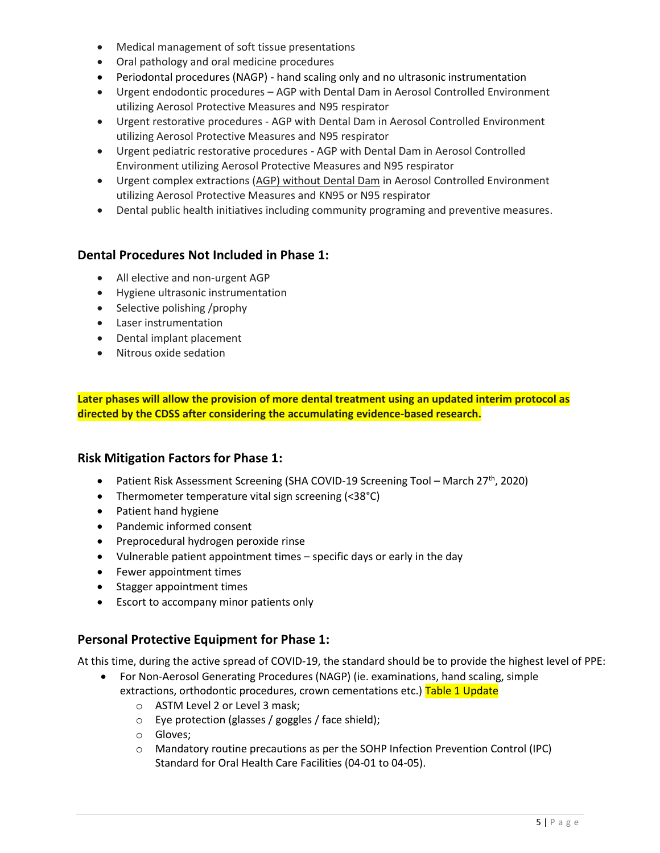- Medical management of soft tissue presentations
- Oral pathology and oral medicine procedures
- Periodontal procedures (NAGP) hand scaling only and no ultrasonic instrumentation
- Urgent endodontic procedures AGP with Dental Dam in Aerosol Controlled Environment utilizing Aerosol Protective Measures and N95 respirator
- Urgent restorative procedures AGP with Dental Dam in Aerosol Controlled Environment utilizing Aerosol Protective Measures and N95 respirator
- Urgent pediatric restorative procedures AGP with Dental Dam in Aerosol Controlled Environment utilizing Aerosol Protective Measures and N95 respirator
- Urgent complex extractions (AGP) without Dental Dam in Aerosol Controlled Environment utilizing Aerosol Protective Measures and KN95 or N95 respirator
- Dental public health initiatives including community programing and preventive measures.

### **Dental Procedures Not Included in Phase 1:**

- All elective and non-urgent AGP
- Hygiene ultrasonic instrumentation
- Selective polishing /prophy
- Laser instrumentation
- Dental implant placement
- Nitrous oxide sedation

**Later phases will allow the provision of more dental treatment using an updated interim protocol as directed by the CDSS after considering the accumulating evidence-based research.**

#### **Risk Mitigation Factors for Phase 1:**

- Patient Risk Assessment Screening (SHA COVID-19 Screening Tool March 27<sup>th</sup>, 2020)
- Thermometer temperature vital sign screening (<38°C)
- Patient hand hygiene
- Pandemic informed consent
- Preprocedural hydrogen peroxide rinse
- Vulnerable patient appointment times specific days or early in the day
- Fewer appointment times
- Stagger appointment times
- Escort to accompany minor patients only

### **Personal Protective Equipment for Phase 1:**

At this time, during the active spread of COVID-19, the standard should be to provide the highest level of PPE:

- For Non-Aerosol Generating Procedures (NAGP) (ie. examinations, hand scaling, simple
	- extractions, orthodontic procedures, crown cementations etc.) Table 1 Update
		- o ASTM Level 2 or Level 3 mask;
		- o Eye protection (glasses / goggles / face shield);
		- o Gloves;
		- o Mandatory routine precautions as per the SOHP Infection Prevention Control (IPC) Standard for Oral Health Care Facilities (04-01 to 04-05).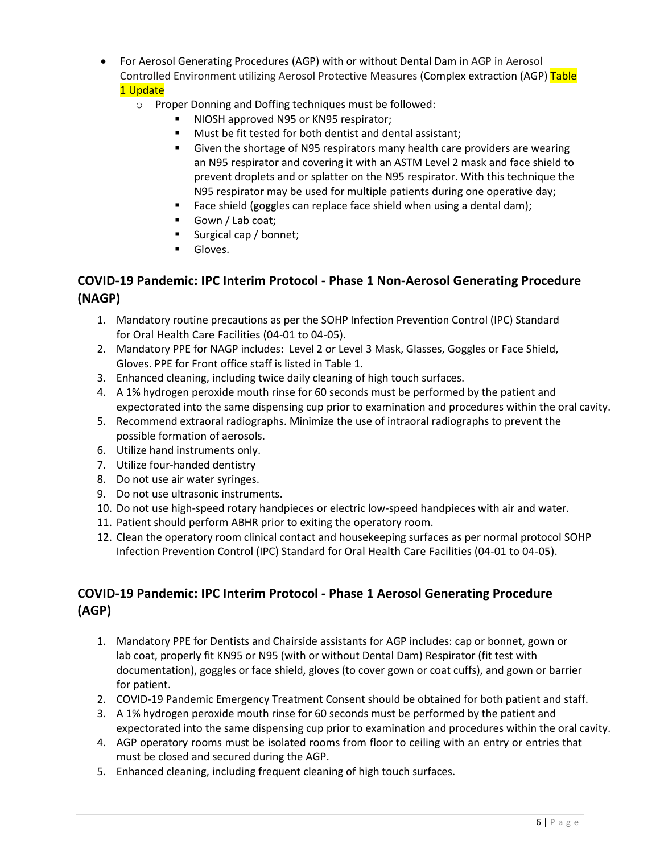- For Aerosol Generating Procedures (AGP) with or without Dental Dam in AGP in Aerosol Controlled Environment utilizing Aerosol Protective Measures (Complex extraction (AGP) Table 1 Update
	- o Proper Donning and Doffing techniques must be followed:
		- NIOSH approved N95 or KN95 respirator;
		- Must be fit tested for both dentist and dental assistant;
		- Given the shortage of N95 respirators many health care providers are wearing an N95 respirator and covering it with an ASTM Level 2 mask and face shield to prevent droplets and or splatter on the N95 respirator. With this technique the N95 respirator may be used for multiple patients during one operative day;
		- Face shield (goggles can replace face shield when using a dental dam);
		- Gown / Lab coat;
		- Surgical cap / bonnet;
		- **■** Gloves.

### **COVID-19 Pandemic: IPC Interim Protocol - Phase 1 Non-Aerosol Generating Procedure (NAGP)**

- 1. Mandatory routine precautions as per the SOHP Infection Prevention Control (IPC) Standard for Oral Health Care Facilities (04-01 to 04-05).
- 2. Mandatory PPE for NAGP includes: Level 2 or Level 3 Mask, Glasses, Goggles or Face Shield, Gloves. PPE for Front office staff is listed in Table 1.
- 3. Enhanced cleaning, including twice daily cleaning of high touch surfaces.
- 4. A 1% hydrogen peroxide mouth rinse for 60 seconds must be performed by the patient and expectorated into the same dispensing cup prior to examination and procedures within the oral cavity.
- 5. Recommend extraoral radiographs. Minimize the use of intraoral radiographs to prevent the possible formation of aerosols.
- 6. Utilize hand instruments only.
- 7. Utilize four-handed dentistry
- 8. Do not use air water syringes.
- 9. Do not use ultrasonic instruments.
- 10. Do not use high-speed rotary handpieces or electric low-speed handpieces with air and water.
- 11. Patient should perform ABHR prior to exiting the operatory room.
- 12. Clean the operatory room clinical contact and housekeeping surfaces as per normal protocol SOHP Infection Prevention Control (IPC) Standard for Oral Health Care Facilities (04-01 to 04-05).

## **COVID-19 Pandemic: IPC Interim Protocol - Phase 1 Aerosol Generating Procedure (AGP)**

- 1. Mandatory PPE for Dentists and Chairside assistants for AGP includes: cap or bonnet, gown or lab coat, properly fit KN95 or N95 (with or without Dental Dam) Respirator (fit test with documentation), goggles or face shield, gloves (to cover gown or coat cuffs), and gown or barrier for patient.
- 2. COVID-19 Pandemic Emergency Treatment Consent should be obtained for both patient and staff.
- 3. A 1% hydrogen peroxide mouth rinse for 60 seconds must be performed by the patient and expectorated into the same dispensing cup prior to examination and procedures within the oral cavity.
- 4. AGP operatory rooms must be isolated rooms from floor to ceiling with an entry or entries that must be closed and secured during the AGP.
- 5. Enhanced cleaning, including frequent cleaning of high touch surfaces.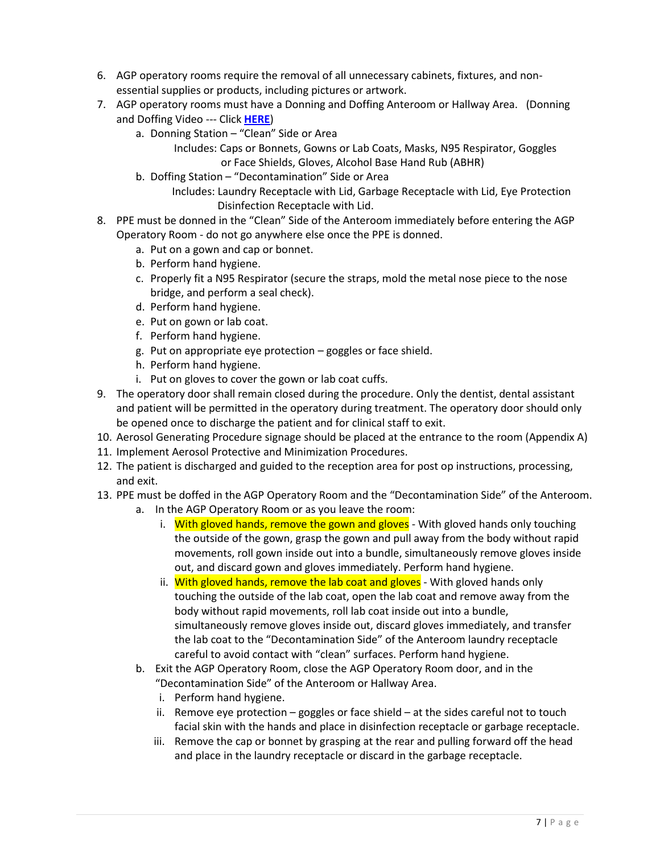- 6. AGP operatory rooms require the removal of all unnecessary cabinets, fixtures, and nonessential supplies or products, including pictures or artwork.
- 7. AGP operatory rooms must have a Donning and Doffing Anteroom or Hallway Area. (Donning and Doffing Video --- Click **[HERE](https://www.youtube.com/watch?v=t1lxq2OUy-U)**)
	- a. Donning Station "Clean" Side or Area
		- Includes: Caps or Bonnets, Gowns or Lab Coats, Masks, N95 Respirator, Goggles or Face Shields, Gloves, Alcohol Base Hand Rub (ABHR)
	- b. Doffing Station "Decontamination" Side or Area
		- Includes: Laundry Receptacle with Lid, Garbage Receptacle with Lid, Eye Protection Disinfection Receptacle with Lid.
- 8. PPE must be donned in the "Clean" Side of the Anteroom immediately before entering the AGP Operatory Room - do not go anywhere else once the PPE is donned.
	- a. Put on a gown and cap or bonnet.
	- b. Perform hand hygiene.
	- c. Properly fit a N95 Respirator (secure the straps, mold the metal nose piece to the nose bridge, and perform a seal check).
	- d. Perform hand hygiene.
	- e. Put on gown or lab coat.
	- f. Perform hand hygiene.
	- g. Put on appropriate eye protection goggles or face shield.
	- h. Perform hand hygiene.
	- i. Put on gloves to cover the gown or lab coat cuffs.
- 9. The operatory door shall remain closed during the procedure. Only the dentist, dental assistant and patient will be permitted in the operatory during treatment. The operatory door should only be opened once to discharge the patient and for clinical staff to exit.
- 10. Aerosol Generating Procedure signage should be placed at the entrance to the room (Appendix A)
- 11. Implement Aerosol Protective and Minimization Procedures.
- 12. The patient is discharged and guided to the reception area for post op instructions, processing, and exit.
- 13. PPE must be doffed in the AGP Operatory Room and the "Decontamination Side" of the Anteroom.
	- a. In the AGP Operatory Room or as you leave the room:
		- i. With gloved hands, remove the gown and gloves With gloved hands only touching the outside of the gown, grasp the gown and pull away from the body without rapid movements, roll gown inside out into a bundle, simultaneously remove gloves inside out, and discard gown and gloves immediately. Perform hand hygiene.
		- ii. With gloved hands, remove the lab coat and gloves With gloved hands only touching the outside of the lab coat, open the lab coat and remove away from the body without rapid movements, roll lab coat inside out into a bundle, simultaneously remove gloves inside out, discard gloves immediately, and transfer the lab coat to the "Decontamination Side" of the Anteroom laundry receptacle careful to avoid contact with "clean" surfaces. Perform hand hygiene.
	- b. Exit the AGP Operatory Room, close the AGP Operatory Room door, and in the "Decontamination Side" of the Anteroom or Hallway Area.
		- i. Perform hand hygiene.
		- ii. Remove eve protection goggles or face shield at the sides careful not to touch facial skin with the hands and place in disinfection receptacle or garbage receptacle.
		- iii. Remove the cap or bonnet by grasping at the rear and pulling forward off the head and place in the laundry receptacle or discard in the garbage receptacle.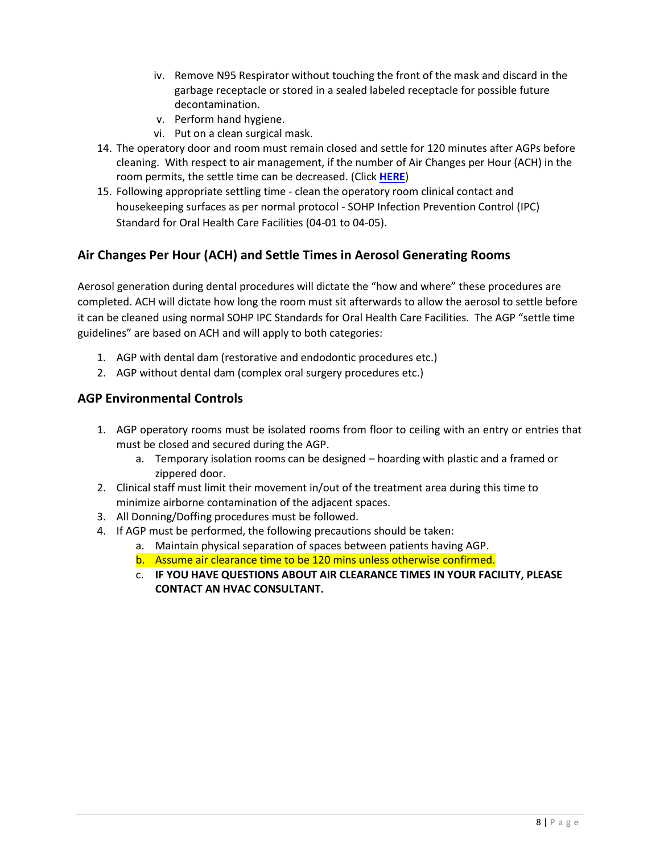- iv. Remove N95 Respirator without touching the front of the mask and discard in the garbage receptacle or stored in a sealed labeled receptacle for possible future decontamination.
- v. Perform hand hygiene.
- vi. Put on a clean surgical mask.
- 14. The operatory door and room must remain closed and settle for 120 minutes after AGPs before cleaning. With respect to air management, if the number of Air Changes per Hour (ACH) in the room permits, the settle time can be decreased. (Click **[HERE](https://www.saskatchewan.ca/-/media/files/coronavirus/info-for-health-care-providers/infection-prevention-and-control/work-standard-settle-time-aerosolize-poster-april-4-2020.pdf)**)
- 15. Following appropriate settling time clean the operatory room clinical contact and housekeeping surfaces as per normal protocol - SOHP Infection Prevention Control (IPC) Standard for Oral Health Care Facilities (04-01 to 04-05).

### **Air Changes Per Hour (ACH) and Settle Times in Aerosol Generating Rooms**

Aerosol generation during dental procedures will dictate the "how and where" these procedures are completed. ACH will dictate how long the room must sit afterwards to allow the aerosol to settle before it can be cleaned using normal SOHP IPC Standards for Oral Health Care Facilities. The AGP "settle time guidelines" are based on ACH and will apply to both categories:

- 1. AGP with dental dam (restorative and endodontic procedures etc.)
- 2. AGP without dental dam (complex oral surgery procedures etc.)

#### **AGP Environmental Controls**

- 1. AGP operatory rooms must be isolated rooms from floor to ceiling with an entry or entries that must be closed and secured during the AGP.
	- a. Temporary isolation rooms can be designed hoarding with plastic and a framed or zippered door.
- 2. Clinical staff must limit their movement in/out of the treatment area during this time to minimize airborne contamination of the adjacent spaces.
- 3. All Donning/Doffing procedures must be followed.
- 4. If AGP must be performed, the following precautions should be taken:
	- a. Maintain physical separation of spaces between patients having AGP.
	- b. Assume air clearance time to be 120 mins unless otherwise confirmed.
	- c. **IF YOU HAVE QUESTIONS ABOUT AIR CLEARANCE TIMES IN YOUR FACILITY, PLEASE CONTACT AN HVAC CONSULTANT.**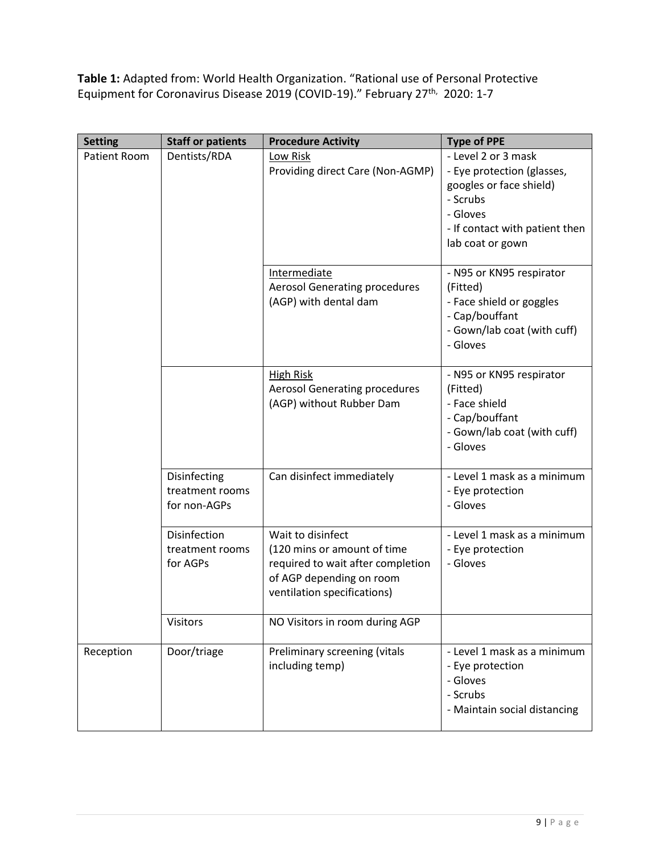**Table 1:** Adapted from: World Health Organization. "Rational use of Personal Protective Equipment for Coronavirus Disease 2019 (COVID-19)." February 27<sup>th,</sup> 2020: 1-7

| <b>Setting</b>      | <b>Staff or patients</b>                        | <b>Procedure Activity</b>                                                                                                                        | <b>Type of PPE</b>                                                                                                                                         |
|---------------------|-------------------------------------------------|--------------------------------------------------------------------------------------------------------------------------------------------------|------------------------------------------------------------------------------------------------------------------------------------------------------------|
| <b>Patient Room</b> | Dentists/RDA                                    | Low Risk<br>Providing direct Care (Non-AGMP)                                                                                                     | - Level 2 or 3 mask<br>- Eye protection (glasses,<br>googles or face shield)<br>- Scrubs<br>- Gloves<br>- If contact with patient then<br>lab coat or gown |
|                     |                                                 | Intermediate<br><b>Aerosol Generating procedures</b><br>(AGP) with dental dam                                                                    | - N95 or KN95 respirator<br>(Fitted)<br>- Face shield or goggles<br>- Cap/bouffant<br>- Gown/lab coat (with cuff)<br>- Gloves                              |
|                     |                                                 | <b>High Risk</b><br><b>Aerosol Generating procedures</b><br>(AGP) without Rubber Dam                                                             | - N95 or KN95 respirator<br>(Fitted)<br>- Face shield<br>- Cap/bouffant<br>- Gown/lab coat (with cuff)<br>- Gloves                                         |
|                     | Disinfecting<br>treatment rooms<br>for non-AGPs | Can disinfect immediately                                                                                                                        | - Level 1 mask as a minimum<br>- Eye protection<br>- Gloves                                                                                                |
|                     | Disinfection<br>treatment rooms<br>for AGPs     | Wait to disinfect<br>(120 mins or amount of time<br>required to wait after completion<br>of AGP depending on room<br>ventilation specifications) | - Level 1 mask as a minimum<br>- Eye protection<br>- Gloves                                                                                                |
|                     | Visitors                                        | NO Visitors in room during AGP                                                                                                                   |                                                                                                                                                            |
| Reception           | Door/triage                                     | Preliminary screening (vitals<br>including temp)                                                                                                 | - Level 1 mask as a minimum<br>- Eye protection<br>- Gloves<br>- Scrubs<br>- Maintain social distancing                                                    |